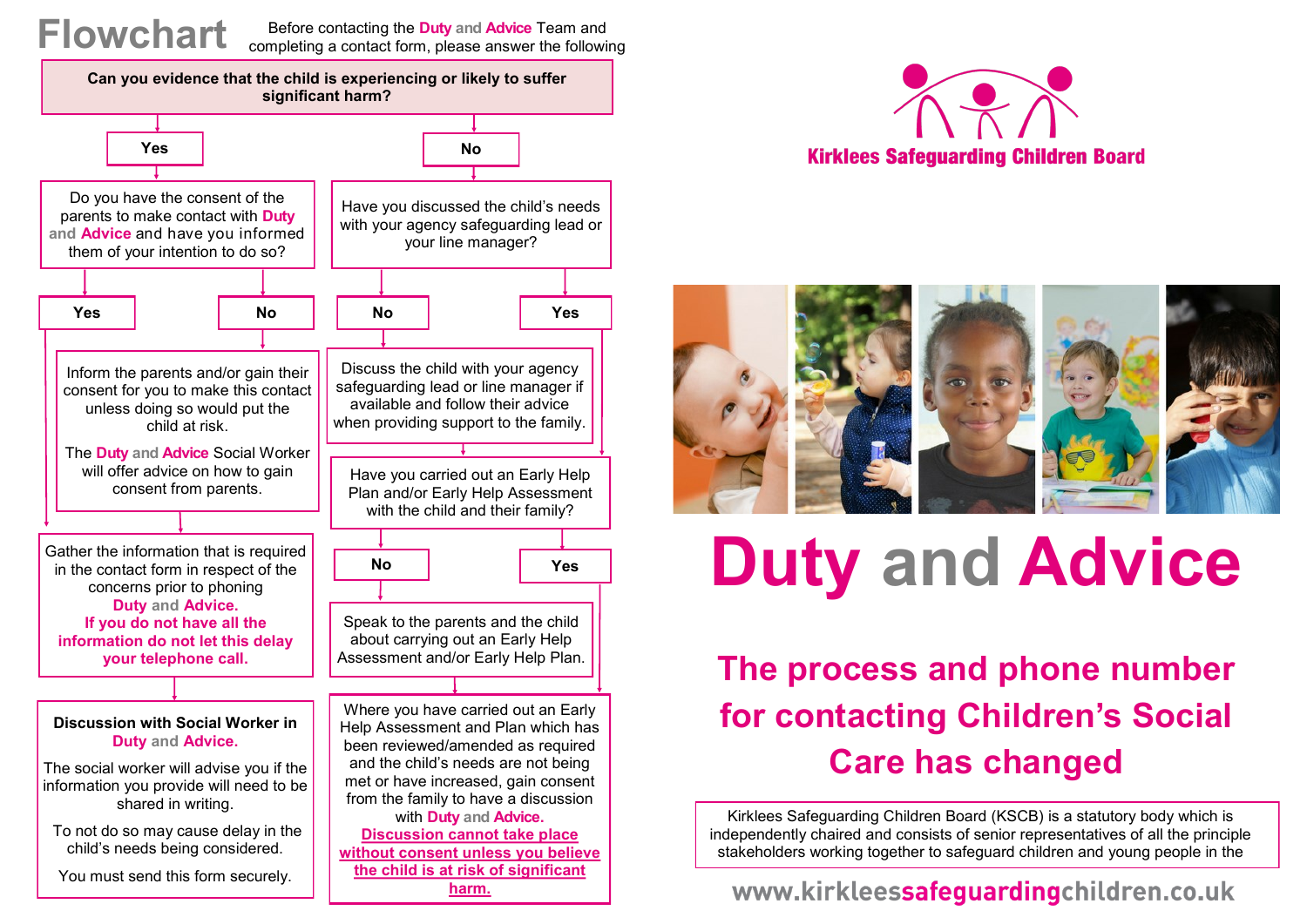### **Flowchart**

Before contacting the **Duty and Advice** Team and completing a contact form, please answer the following







# **Duty and Advice**

## **The process and phone number for contacting Children's Social Care has changed**

Kirklees Safeguarding Children Board (KSCB) is a statutory body which is independently chaired and consists of senior representatives of all the principle stakeholders working together to safeguard children and young people in the

#### www.kirkleessafeguardingchildren.co.uk